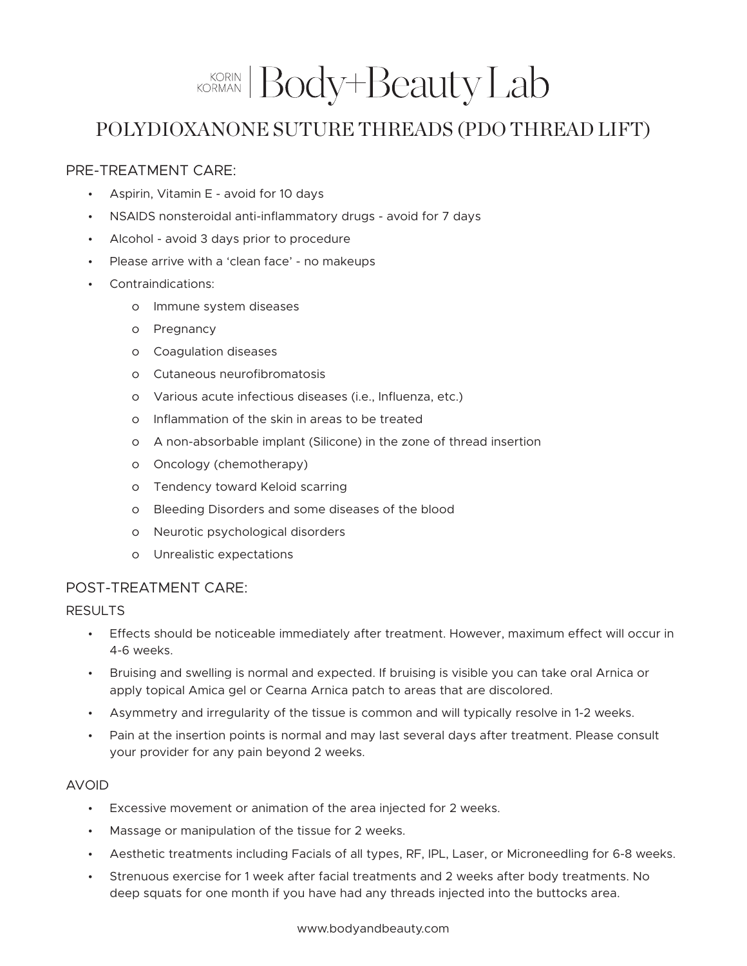# KORIAN Body+Beauty Lab

## POLYDIOXANONE SUTURE THREADS (PDO THREAD LIFT)

### PRE-TREATMENT CARE:

- Aspirin, Vitamin E avoid for 10 days
- NSAIDS nonsteroidal anti-inflammatory drugs avoid for 7 days
- Alcohol avoid 3 days prior to procedure
- Please arrive with a 'clean face' no makeups
- Contraindications:
	- o Immune system diseases
	- o Pregnancy
	- o Coagulation diseases
	- o Cutaneous neurofibromatosis
	- o Various acute infectious diseases (i.e., Influenza, etc.)
	- o Inflammation of the skin in areas to be treated
	- o A non-absorbable implant (Silicone) in the zone of thread insertion
	- o Oncology (chemotherapy)
	- o Tendency toward Keloid scarring
	- o Bleeding Disorders and some diseases of the blood
	- o Neurotic psychological disorders
	- o Unrealistic expectations

#### POST-TREATMENT CARE:

#### RESULTS

- Effects should be noticeable immediately after treatment. However, maximum effect will occur in 4-6 weeks.
- Bruising and swelling is normal and expected. If bruising is visible you can take oral Arnica or apply topical Amica gel or Cearna Arnica patch to areas that are discolored.
- Asymmetry and irregularity of the tissue is common and will typically resolve in 1-2 weeks.
- Pain at the insertion points is normal and may last several days after treatment. Please consult your provider for any pain beyond 2 weeks.

#### AVOID

- Excessive movement or animation of the area injected for 2 weeks.
- Massage or manipulation of the tissue for 2 weeks.
- Aesthetic treatments including Facials of all types, RF, IPL, Laser, or Microneedling for 6-8 weeks.
- Strenuous exercise for 1 week after facial treatments and 2 weeks after body treatments. No deep squats for one month if you have had any threads injected into the buttocks area.